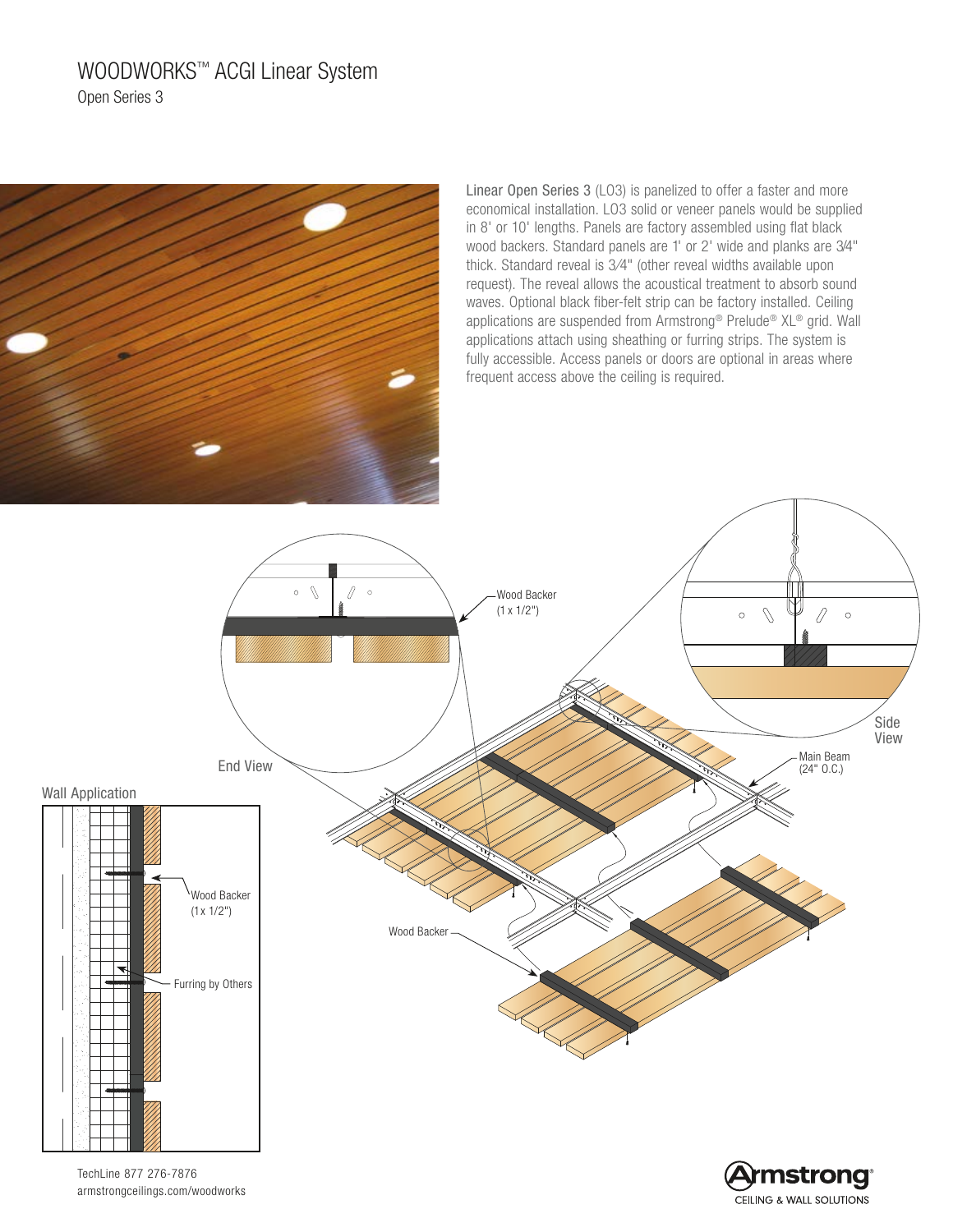# WOODWORKS™ ACGI Linear System Open Series 3



Linear Open Series 3 (LO3) is panelized to offer a faster and more economical installation. LO3 solid or veneer panels would be supplied in 8' or 10' lengths. Panels are factory assembled using flat black wood backers. Standard panels are 1' or 2' wide and planks are 3/4" thick. Standard reveal is 3⁄4" (other reveal widths available upon request). The reveal allows the acoustical treatment to absorb sound waves. Optional black fiber-felt strip can be factory installed. Ceiling applications are suspended from Armstrong® Prelude® XL® grid. Wall applications attach using sheathing or furring strips. The system is fully accessible. Access panels or doors are optional in areas where frequent access above the ceiling is required.

CEILING & WALL SOLUTIONS



armstrongceilings.com/woodworks